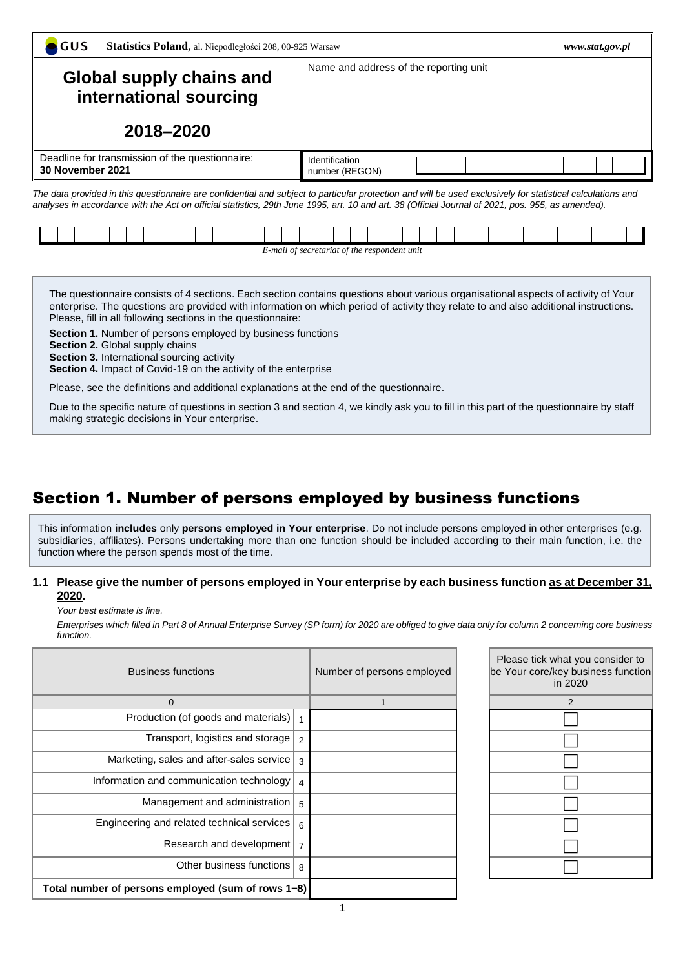| GUS<br>Statistics Poland, al. Niepodległości 208, 00-925 Warsaw                                                                                                                                                                                                                                                  | www.stat.gov.pl                              |  |  |  |  |  |  |  |  |  |
|------------------------------------------------------------------------------------------------------------------------------------------------------------------------------------------------------------------------------------------------------------------------------------------------------------------|----------------------------------------------|--|--|--|--|--|--|--|--|--|
| <b>Global supply chains and</b><br>international sourcing<br>2018-2020                                                                                                                                                                                                                                           | Name and address of the reporting unit       |  |  |  |  |  |  |  |  |  |
| Deadline for transmission of the questionnaire:<br>30 November 2021                                                                                                                                                                                                                                              | Identification<br>number (REGON)             |  |  |  |  |  |  |  |  |  |
| The data provided in this questionnaire are confidential and subject to particular protection and will be used exclusively for statistical calculations and<br>analyses in accordance with the Act on official statistics, 29th June 1995, art. 10 and art. 38 (Official Journal of 2021, pos. 955, as amended). |                                              |  |  |  |  |  |  |  |  |  |
|                                                                                                                                                                                                                                                                                                                  | E-mail of secretariat of the respondent unit |  |  |  |  |  |  |  |  |  |

The questionnaire consists of 4 sections. Each section contains questions about various organisational aspects of activity of Your enterprise. The questions are provided with information on which period of activity they relate to and also additional instructions. Please, fill in all following sections in the questionnaire:

**Section 1.** Number of persons employed by business functions

**Section 2.** Global supply chains

**Section 3.** International sourcing activity

**Section 4.** Impact of Covid-19 on the activity of the enterprise

Please, see the definitions and additional explanations at the end of the questionnaire.

Due to the specific nature of questions in section 3 and section 4, we kindly ask you to fill in this part of the questionnaire by staff making strategic decisions in Your enterprise.

# Section 1. Number of persons employed by business functions

This information **includes** only **persons employed in Your enterprise**. Do not include persons employed in other enterprises (e.g. subsidiaries, affiliates). Persons undertaking more than one function should be included according to their main function, i.e. the function where the person spends most of the time.

### **1.1 Please give the number of persons employed in Your enterprise by each business function as at December 31, 2020.**

*Your best estimate is fine.*

*Enterprises which filled in Part 8 of Annual Enterprise Survey (SP form) for 2020 are obliged to give data only for column 2 concerning core business function.*

| <b>Business functions</b>                          |                | Number of persons employed | Please tick what y<br>be Your core/key b<br>in 20 |
|----------------------------------------------------|----------------|----------------------------|---------------------------------------------------|
| $\mathbf 0$                                        |                |                            |                                                   |
| Production (of goods and materials)                |                |                            |                                                   |
| Transport, logistics and storage                   | 2              |                            |                                                   |
| Marketing, sales and after-sales service   3       |                |                            |                                                   |
| Information and communication technology           | 4              |                            |                                                   |
| Management and administration   5                  |                |                            |                                                   |
| Engineering and related technical services   6     |                |                            |                                                   |
| Research and development                           | $\overline{7}$ |                            |                                                   |
| Other business functions l                         | 8              |                            |                                                   |
| Total number of persons employed (sum of rows 1-8) |                |                            |                                                   |

| Please tick what you consider to<br>be Your core/key business function<br>in 2020 |
|-----------------------------------------------------------------------------------|
| $\overline{2}$                                                                    |
|                                                                                   |
|                                                                                   |
|                                                                                   |
|                                                                                   |
|                                                                                   |
|                                                                                   |
|                                                                                   |
|                                                                                   |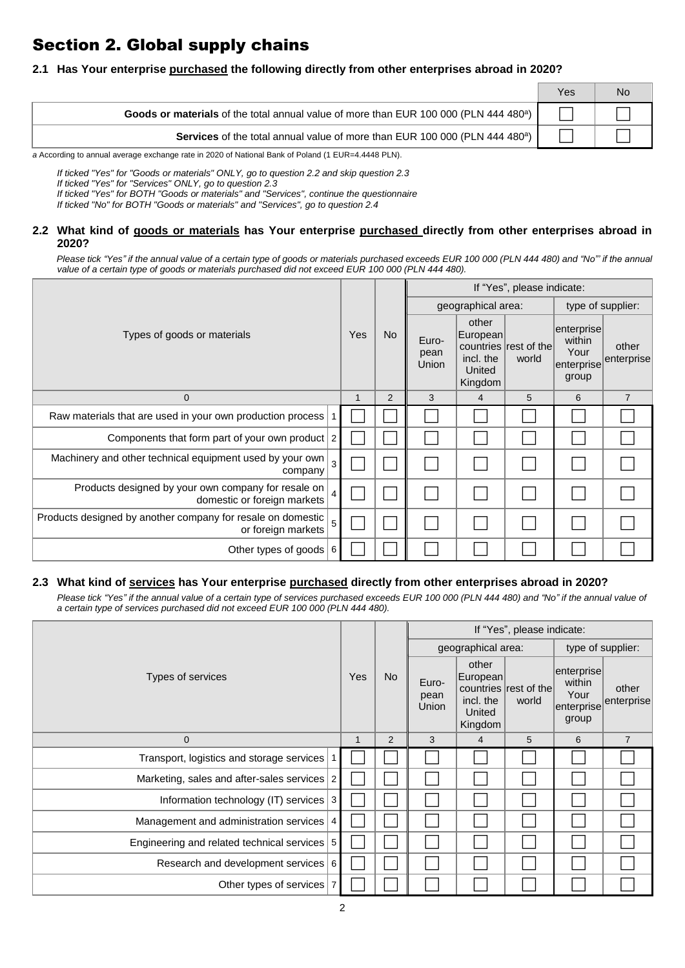# Section 2. Global supply chains

## **2.1 Has Your enterprise purchased the following directly from other enterprises abroad in 2020?**

|                                                                                                   | Yes | N٥ |
|---------------------------------------------------------------------------------------------------|-----|----|
| Goods or materials of the total annual value of more than EUR 100 000 (PLN 444 480 <sup>a</sup> ) |     |    |
| Services of the total annual value of more than EUR 100 000 (PLN 444 480 <sup>a</sup> )           |     |    |

*a* According to annual average exchange rate in 2020 of National Bank of Poland (1 EUR=4.4448 PLN).

*If ticked "Yes" for "Goods or materials" ONLY, go to question 2.2 and skip question 2.3*

*If ticked "Yes" for "Services" ONLY, go to question 2.3*

*If ticked "Yes" for BOTH "Goods or materials" and "Services", continue the questionnaire*

*If ticked "No" for BOTH "Goods or materials" and "Services", go to question 2.4*

#### **2.2 What kind of goods or materials has Your enterprise purchased directly from other enterprises abroad in 2020?**

*Please tick "Yes" if the annual value of a certain type of goods or materials purchased exceeds EUR 100 000 (PLN 444 480) and "No"' if the annual value of a certain type of goods or materials purchased did not exceed EUR 100 000 (PLN 444 480).*

|                                                                                                          |  |            |           | If "Yes", please indicate: |                                                      |                                |                                                     |                     |  |  |
|----------------------------------------------------------------------------------------------------------|--|------------|-----------|----------------------------|------------------------------------------------------|--------------------------------|-----------------------------------------------------|---------------------|--|--|
| Types of goods or materials                                                                              |  | <b>Yes</b> | <b>No</b> |                            | geographical area:                                   |                                | type of supplier:                                   |                     |  |  |
|                                                                                                          |  |            |           | Euro-<br>pean<br>Union     | other<br>European <br>incl. the<br>United<br>Kingdom | countries rest of the<br>world | enterprise<br>within<br>Your<br>enterprise<br>group | other<br>enterprise |  |  |
| 0                                                                                                        |  |            | 2         | 3                          | 4                                                    | 5                              | 6                                                   | $\overline{7}$      |  |  |
| Raw materials that are used in your own production process   1                                           |  |            |           |                            |                                                      |                                |                                                     |                     |  |  |
| Components that form part of your own product 2                                                          |  |            |           |                            |                                                      |                                |                                                     |                     |  |  |
| Machinery and other technical equipment used by your own $\vert 3 \vert$<br>company                      |  |            |           |                            |                                                      |                                |                                                     |                     |  |  |
| Products designed by your own company for resale on<br>domestic or foreign markets                       |  |            |           |                            |                                                      |                                |                                                     |                     |  |  |
| Products designed by another company for resale on domestic $\left 5\right\rangle$<br>or foreign markets |  |            |           |                            |                                                      |                                |                                                     |                     |  |  |
| Other types of goods $ 6 $                                                                               |  |            |           |                            |                                                      |                                |                                                     |                     |  |  |

# **2.3 What kind of services has Your enterprise purchased directly from other enterprises abroad in 2020?**

*Please tick "Yes" if the annual value of a certain type of services purchased exceeds EUR 100 000 (PLN 444 480) and "No" if the annual value of a certain type of services purchased did not exceed EUR 100 000 (PLN 444 480).*

|                                                |  |     |           | If "Yes", please indicate: |                                                     |                                |                                                     |                     |  |  |
|------------------------------------------------|--|-----|-----------|----------------------------|-----------------------------------------------------|--------------------------------|-----------------------------------------------------|---------------------|--|--|
|                                                |  |     |           |                            | geographical area:                                  |                                | type of supplier:                                   |                     |  |  |
| Types of services                              |  | Yes | <b>No</b> | Euro-<br>pean<br>Union     | other<br>European<br>incl. the<br>United<br>Kingdom | countries rest of the<br>world | enterprise<br>within<br>Your<br>enterprise<br>group | other<br>enterprise |  |  |
| $\mathbf 0$                                    |  | 1   | 2         | 3                          | 4                                                   | 5                              | 6                                                   | 7                   |  |  |
| Transport, logistics and storage services      |  |     |           |                            |                                                     |                                |                                                     |                     |  |  |
| Marketing, sales and after-sales services 2    |  |     |           |                            |                                                     |                                |                                                     |                     |  |  |
| Information technology (IT) services $ 3 $     |  |     |           |                            |                                                     |                                |                                                     |                     |  |  |
| Management and administration services   4     |  |     |           |                            |                                                     |                                |                                                     |                     |  |  |
| Engineering and related technical services   5 |  |     |           |                            |                                                     |                                |                                                     |                     |  |  |
| Research and development services 6            |  |     |           |                            |                                                     |                                |                                                     |                     |  |  |
| Other types of services   7                    |  |     |           |                            |                                                     |                                |                                                     |                     |  |  |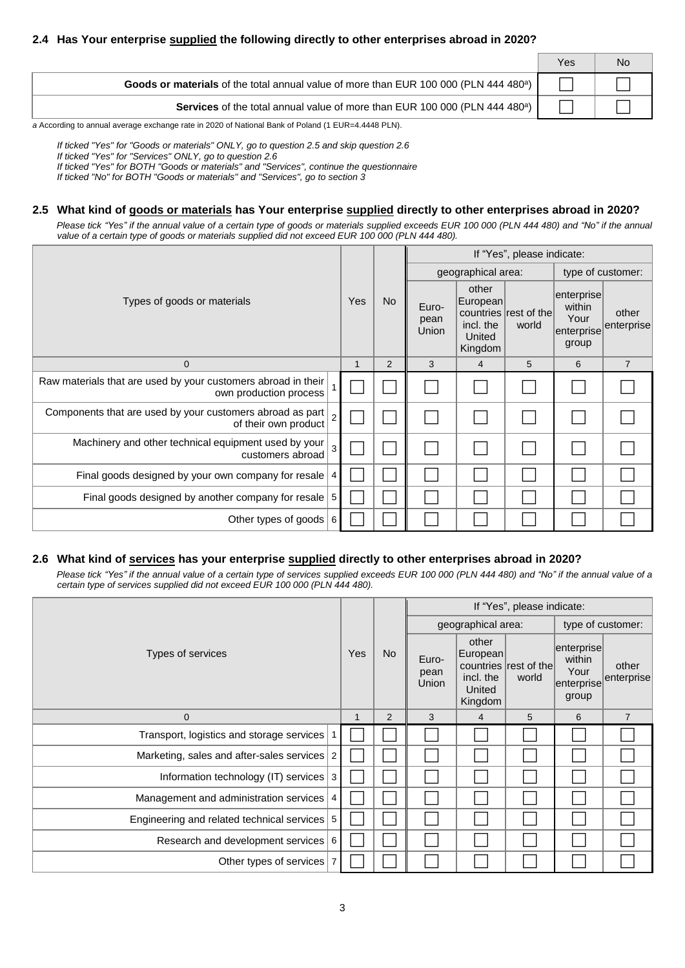|                                                                                                   | Yes | Nο |
|---------------------------------------------------------------------------------------------------|-----|----|
| Goods or materials of the total annual value of more than EUR 100 000 (PLN 444 480 <sup>a</sup> ) |     |    |
| Services of the total annual value of more than EUR 100 000 (PLN 444 480 <sup>a</sup> )           |     |    |

*a* According to annual average exchange rate in 2020 of National Bank of Poland (1 EUR=4.4448 PLN).

*If ticked "Yes" for "Goods or materials" ONLY, go to question 2.5 and skip question 2.6*

*If ticked "Yes" for "Services" ONLY, go to question 2.6*

*If ticked "Yes" for BOTH "Goods or materials" and "Services", continue the questionnaire*

*If ticked "No" for BOTH "Goods or materials" and "Services", go to section 3*

### **2.5 What kind of goods or materials has Your enterprise supplied directly to other enterprises abroad in 2020?**

*Please tick "Yes" if the annual value of a certain type of goods or materials supplied exceeds EUR 100 000 (PLN 444 480) and "No" if the annual value of a certain type of goods or materials supplied did not exceed EUR 100 000 (PLN 444 480).*

|                                                                                         |   |     |           | If "Yes", please indicate: |                                                     |                                |                                                             |                     |  |  |
|-----------------------------------------------------------------------------------------|---|-----|-----------|----------------------------|-----------------------------------------------------|--------------------------------|-------------------------------------------------------------|---------------------|--|--|
|                                                                                         |   |     |           | geographical area:         |                                                     | type of customer:              |                                                             |                     |  |  |
| Types of goods or materials                                                             |   | Yes | <b>No</b> | Euro-<br>pean<br>Union     | other<br>European<br>incl. the<br>United<br>Kingdom | countries rest of the<br>world | enterprise<br>within<br>Your<br>$ $ enterprise $ $<br>group | other<br>enterprise |  |  |
| $\mathbf 0$                                                                             |   |     | 2         | 3                          | 4                                                   | 5                              | 6                                                           | $\overline{7}$      |  |  |
| Raw materials that are used by your customers abroad in their<br>own production process |   |     |           |                            |                                                     |                                |                                                             |                     |  |  |
| Components that are used by your customers abroad as part<br>of their own product       |   |     |           |                            |                                                     |                                |                                                             |                     |  |  |
| Machinery and other technical equipment used by your<br>customers abroad                | 3 |     |           |                            |                                                     |                                |                                                             |                     |  |  |
| Final goods designed by your own company for resale   4                                 |   |     |           |                            |                                                     |                                |                                                             |                     |  |  |
| Final goods designed by another company for resale $\vert 5 \rangle$                    |   |     |           |                            |                                                     |                                |                                                             |                     |  |  |
| Other types of goods $ 6 $                                                              |   |     |           |                            |                                                     |                                |                                                             |                     |  |  |

#### **2.6 What kind of services has your enterprise supplied directly to other enterprises abroad in 2020?**

*Please tick "Yes" if the annual value of a certain type of services supplied exceeds EUR 100 000 (PLN 444 480) and "No" if the annual value of a certain type of services supplied did not exceed EUR 100 000 (PLN 444 480).*

|                                               |   |            |           | If "Yes", please indicate: |                                                     |                                |                                       |                                |  |  |  |
|-----------------------------------------------|---|------------|-----------|----------------------------|-----------------------------------------------------|--------------------------------|---------------------------------------|--------------------------------|--|--|--|
| Types of services                             |   |            |           |                            | geographical area:                                  |                                | type of customer:                     |                                |  |  |  |
|                                               |   | <b>Yes</b> | <b>No</b> | Euro-<br>pean<br>Union     | other<br>European<br>incl. the<br>United<br>Kingdom | countries rest of the<br>world | enterprise<br>within<br>Your<br>group | other<br>enterprise enterprise |  |  |  |
| $\mathbf 0$                                   | 1 |            | 2         | 3                          | 4                                                   | 5                              | 6                                     | $\overline{7}$                 |  |  |  |
| Transport, logistics and storage services   1 |   |            |           |                            |                                                     |                                |                                       |                                |  |  |  |
| Marketing, sales and after-sales services 2   |   |            |           |                            |                                                     |                                |                                       |                                |  |  |  |
| Information technology (IT) services 3        |   |            |           |                            |                                                     |                                |                                       |                                |  |  |  |
| Management and administration services   4    |   |            |           |                            |                                                     |                                |                                       |                                |  |  |  |
| Engineering and related technical services 5  |   |            |           |                            |                                                     |                                |                                       |                                |  |  |  |
| Research and development services 6           |   |            |           |                            |                                                     |                                |                                       |                                |  |  |  |
| Other types of services                       |   |            |           |                            |                                                     |                                |                                       |                                |  |  |  |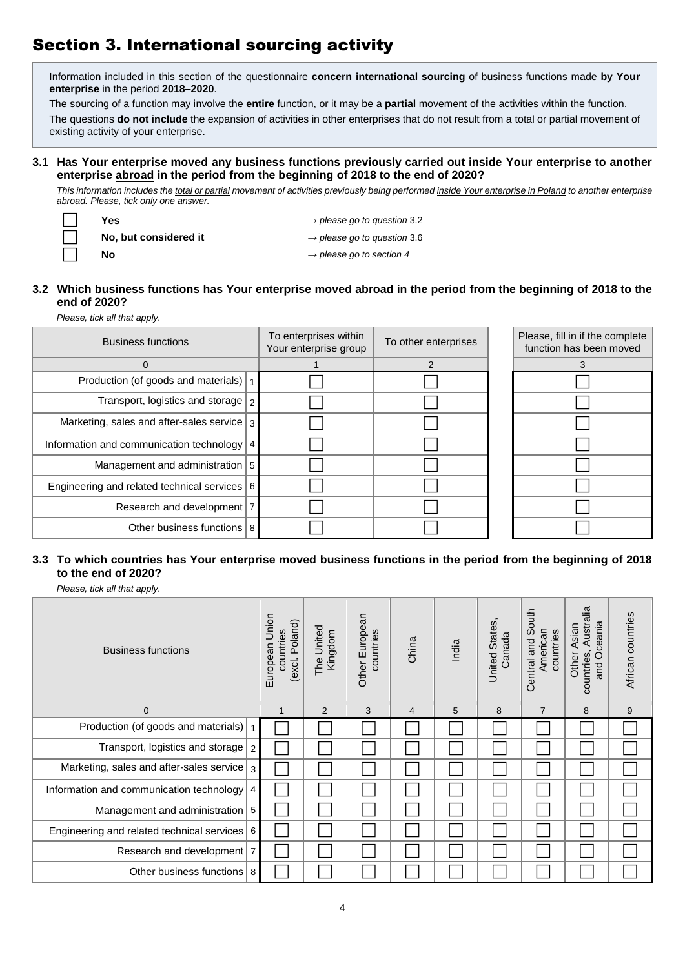# Section 3. International sourcing activity

Information included in this section of the questionnaire **concern international sourcing** of business functions made **by Your enterprise** in the period **2018–2020**.

The sourcing of a function may involve the **entire** function, or it may be a **partial** movement of the activities within the function.

The questions **do not include** the expansion of activities in other enterprises that do not result from a total or partial movement of existing activity of your enterprise.

#### **3.1 Has Your enterprise moved any business functions previously carried out inside Your enterprise to another enterprise abroad in the period from the beginning of 2018 to the end of 2020?**

*This information includes the total or partial movement of activities previously being performed inside Your enterprise in Poland to another enterprise abroad. Please, tick only one answer.* 

| Yes                   | $\rightarrow$ please go to question 3.2 |
|-----------------------|-----------------------------------------|
| No, but considered it | $\rightarrow$ please go to question 3.6 |
| No                    | $\rightarrow$ please go to section 4    |

## **3.2 Which business functions has Your enterprise moved abroad in the period from the beginning of 2018 to the end of 2020?**

*Please, tick all that apply.*

| <b>Business functions</b>                          |  | To enterprises within<br>Your enterprise group | To other enterprises | Please, fill in if the complete<br>function has been moved |
|----------------------------------------------------|--|------------------------------------------------|----------------------|------------------------------------------------------------|
| 0                                                  |  |                                                | 2                    |                                                            |
| Production (of goods and materials)  1             |  |                                                |                      |                                                            |
| Transport, logistics and storage $\sqrt{2}$        |  |                                                |                      |                                                            |
| Marketing, sales and after-sales service $\vert$ 3 |  |                                                |                      |                                                            |
| Information and communication technology 4         |  |                                                |                      |                                                            |
| Management and administration 5                    |  |                                                |                      |                                                            |
| Engineering and related technical services 6       |  |                                                |                      |                                                            |
| Research and development   7                       |  |                                                |                      |                                                            |
| Other business functions 8                         |  |                                                |                      |                                                            |

# **3.3 To which countries has Your enterprise moved business functions in the period from the beginning of 2018 to the end of 2020?**

*Please, tick all that apply.* 

| <b>Business functions</b>                          | Union<br>(excl. Poland)<br>countries<br>European | The United<br>Kingdom | Other European<br>countries | China          | India | <b>United States</b><br>Canada | Central and South<br>American<br>countries | Australia<br>and Oceania<br>Other Asian<br>countries, | African countries |
|----------------------------------------------------|--------------------------------------------------|-----------------------|-----------------------------|----------------|-------|--------------------------------|--------------------------------------------|-------------------------------------------------------|-------------------|
| $\mathbf 0$                                        | $\mathbf{1}$                                     | 2                     | 3                           | $\overline{4}$ | 5     | 8                              | $\overline{7}$                             | 8                                                     | 9                 |
| Production (of goods and materials)                |                                                  |                       |                             |                |       |                                |                                            |                                                       |                   |
| Transport, logistics and storage<br>$\overline{2}$ |                                                  |                       |                             |                |       |                                |                                            |                                                       |                   |
| Marketing, sales and after-sales service<br>3      |                                                  |                       |                             |                |       |                                |                                            |                                                       |                   |
| Information and communication technology<br>4      |                                                  |                       |                             |                |       |                                |                                            |                                                       |                   |
| Management and administration   5                  |                                                  |                       |                             |                |       |                                |                                            |                                                       |                   |
| Engineering and related technical services 6       |                                                  |                       |                             |                |       |                                |                                            |                                                       |                   |
| Research and development<br>7                      |                                                  |                       |                             |                |       |                                |                                            |                                                       |                   |
| Other business functions   8                       |                                                  |                       |                             |                |       |                                |                                            |                                                       |                   |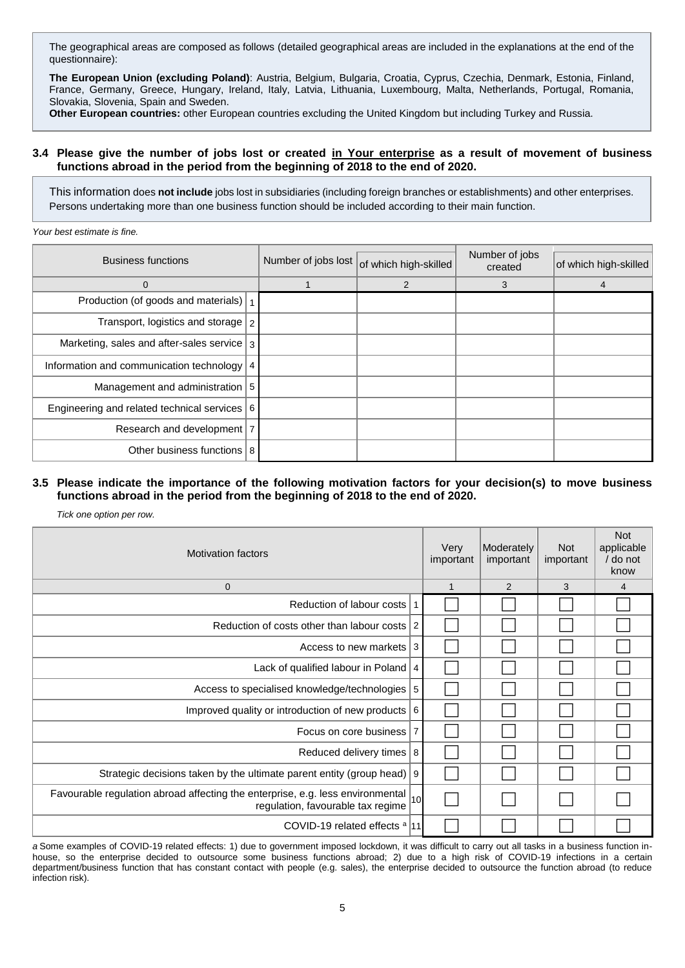The geographical areas are composed as follows (detailed geographical areas are included in the explanations at the end of the questionnaire):

**The European Union (excluding Poland)**: Austria, Belgium, Bulgaria, Croatia, Cyprus, Czechia, Denmark, Estonia, Finland, France, Germany, Greece, Hungary, Ireland, Italy, Latvia, Lithuania, Luxembourg, Malta, Netherlands, Portugal, Romania, Slovakia, Slovenia, Spain and Sweden.

**Other European countries:** other European countries excluding the United Kingdom but including Turkey and Russia.

#### **3.4 Please give the number of jobs lost or created in Your enterprise as a result of movement of business functions abroad in the period from the beginning of 2018 to the end of 2020.**

This information does **not include** jobs lost in subsidiaries (including foreign branches or establishments) and other enterprises. Persons undertaking more than one business function should be included according to their main function.

*Your best estimate is fine.*

| <b>Business functions</b>                              |  | Number of jobs lost of which high-skilled | Number of jobs<br>created | of which high-skilled |
|--------------------------------------------------------|--|-------------------------------------------|---------------------------|-----------------------|
| 0                                                      |  | $\overline{2}$                            | 3                         | 4                     |
| Production (of goods and materials)  1                 |  |                                           |                           |                       |
| Transport, logistics and storage $\sqrt{2}$            |  |                                           |                           |                       |
| Marketing, sales and after-sales service $\frac{1}{3}$ |  |                                           |                           |                       |
| Information and communication technology   4           |  |                                           |                           |                       |
| Management and administration 5                        |  |                                           |                           |                       |
| Engineering and related technical services 6           |  |                                           |                           |                       |
| Research and development   7                           |  |                                           |                           |                       |
| Other business functions   8                           |  |                                           |                           |                       |

#### **3.5 Please indicate the importance of the following motivation factors for your decision(s) to move business functions abroad in the period from the beginning of 2018 to the end of 2020.**

*Tick one option per row.*

| <b>Motivation factors</b>                                                                                               | Very<br>important | Moderately<br>important | <b>Not</b><br>important | <b>Not</b><br>applicable<br>/ do not<br>know |   |
|-------------------------------------------------------------------------------------------------------------------------|-------------------|-------------------------|-------------------------|----------------------------------------------|---|
| $\mathbf 0$                                                                                                             |                   | $\mathbf{1}$            | 2                       | 3                                            | 4 |
| Reduction of labour costs                                                                                               | $\mathbf{1}$      |                         |                         |                                              |   |
| Reduction of costs other than labour costs                                                                              | 2                 |                         |                         |                                              |   |
| Access to new markets                                                                                                   | 3                 |                         |                         |                                              |   |
| Lack of qualified labour in Poland                                                                                      | 4                 |                         |                         |                                              |   |
| Access to specialised knowledge/technologies                                                                            | 5                 |                         |                         |                                              |   |
| Improved quality or introduction of new products                                                                        | 6                 |                         |                         |                                              |   |
| Focus on core business                                                                                                  | $\overline{7}$    |                         |                         |                                              |   |
| Reduced delivery times                                                                                                  | 8                 |                         |                         |                                              |   |
| Strategic decisions taken by the ultimate parent entity (group head)   9                                                |                   |                         |                         |                                              |   |
| Favourable regulation abroad affecting the enterprise, e.g. less environmental  10<br>regulation, favourable tax regime |                   |                         |                         |                                              |   |
| COVID-19 related effects <sup>a</sup>  11                                                                               |                   |                         |                         |                                              |   |

*a* Some examples of COVID-19 related effects: 1) due to government imposed lockdown, it was difficult to carry out all tasks in a business function inhouse, so the enterprise decided to outsource some business functions abroad; 2) due to a high risk of COVID-19 infections in a certain department/business function that has constant contact with people (e.g. sales), the enterprise decided to outsource the function abroad (to reduce infection risk).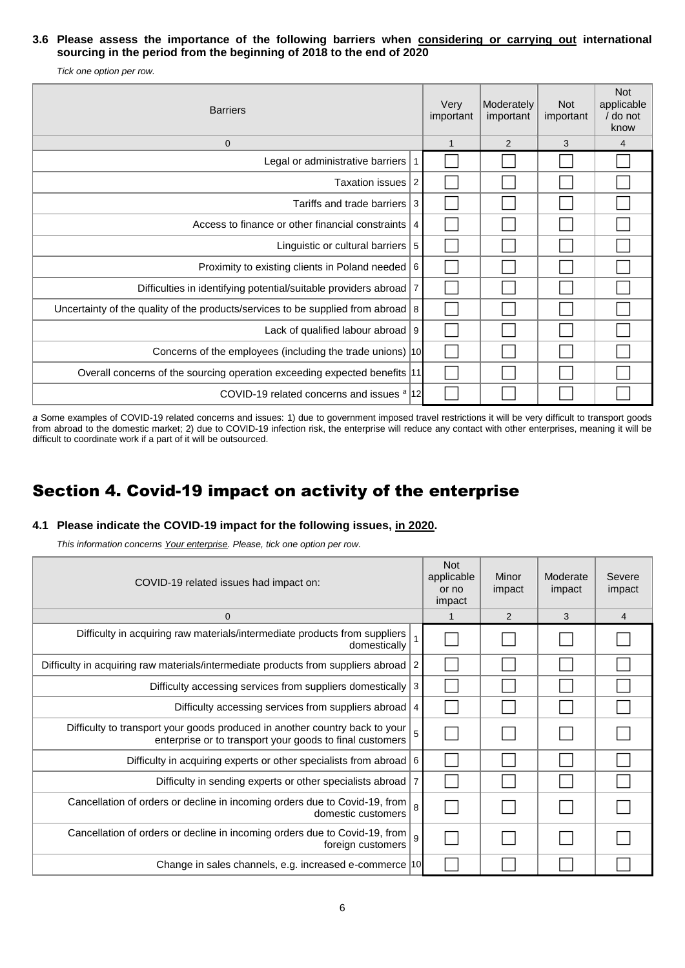## **3.6 Please assess the importance of the following barriers when considering or carrying out international sourcing in the period from the beginning of 2018 to the end of 2020**

*Tick one option per row.*

| <b>Barriers</b>                                                                | Very<br>important | Moderately<br>important | <b>Not</b><br>important | <b>Not</b><br>applicable<br>/ do not<br>know |                |
|--------------------------------------------------------------------------------|-------------------|-------------------------|-------------------------|----------------------------------------------|----------------|
| $\mathbf 0$                                                                    |                   | $\mathbf 1$             | 2                       | 3                                            | $\overline{4}$ |
| Legal or administrative barriers                                               | 1                 |                         |                         |                                              |                |
| Taxation issues                                                                | 2                 |                         |                         |                                              |                |
| Tariffs and trade barriers                                                     | 3                 |                         |                         |                                              |                |
| Access to finance or other financial constraints                               | 4                 |                         |                         |                                              |                |
| Linguistic or cultural barriers $\vert 5 \vert$                                |                   |                         |                         |                                              |                |
| Proximity to existing clients in Poland needed 6                               |                   |                         |                         |                                              |                |
| Difficulties in identifying potential/suitable providers abroad                | $\overline{7}$    |                         |                         |                                              |                |
| Uncertainty of the quality of the products/services to be supplied from abroad | 8                 |                         |                         |                                              |                |
| Lack of qualified labour abroad                                                | 9                 |                         |                         |                                              |                |
| Concerns of the employees (including the trade unions) 10                      |                   |                         |                         |                                              |                |
| Overall concerns of the sourcing operation exceeding expected benefits  11     |                   |                         |                         |                                              |                |
| COVID-19 related concerns and issues <sup>a</sup>  12                          |                   |                         |                         |                                              |                |

*a* Some examples of COVID-19 related concerns and issues: 1) due to government imposed travel restrictions it will be very difficult to transport goods from abroad to the domestic market; 2) due to COVID-19 infection risk, the enterprise will reduce any contact with other enterprises, meaning it will be difficult to coordinate work if a part of it will be outsourced.

# Section 4. Covid-19 impact on activity of the enterprise

# **4.1 Please indicate the COVID-19 impact for the following issues, in 2020.**

*This information concerns Your enterprise. Please, tick one option per row.*

| COVID-19 related issues had impact on:                                                                                                  | <b>Not</b><br>applicable<br>or no<br>impact | Minor<br>impact | Moderate<br>impact | Severe<br>impact |   |
|-----------------------------------------------------------------------------------------------------------------------------------------|---------------------------------------------|-----------------|--------------------|------------------|---|
| $\mathbf 0$                                                                                                                             |                                             | 1               | 2                  | 3                | 4 |
| Difficulty in acquiring raw materials/intermediate products from suppliers<br>domestically                                              | $\mathbf{1}$                                |                 |                    |                  |   |
| Difficulty in acquiring raw materials/intermediate products from suppliers abroad                                                       | 2                                           |                 |                    |                  |   |
| Difficulty accessing services from suppliers domestically                                                                               | 3                                           |                 |                    |                  |   |
| Difficulty accessing services from suppliers abroad                                                                                     | 4                                           |                 |                    |                  |   |
| Difficulty to transport your goods produced in another country back to your<br>enterprise or to transport your goods to final customers | 5                                           |                 |                    |                  |   |
| Difficulty in acquiring experts or other specialists from abroad                                                                        | 6                                           |                 |                    |                  |   |
| Difficulty in sending experts or other specialists abroad                                                                               | $\overline{7}$                              |                 |                    |                  |   |
| Cancellation of orders or decline in incoming orders due to Covid-19, from<br>domestic customers                                        | 8                                           |                 |                    |                  |   |
| Cancellation of orders or decline in incoming orders due to Covid-19, from<br>foreign customers                                         | 9                                           |                 |                    |                  |   |
| Change in sales channels, e.g. increased e-commerce  10                                                                                 |                                             |                 |                    |                  |   |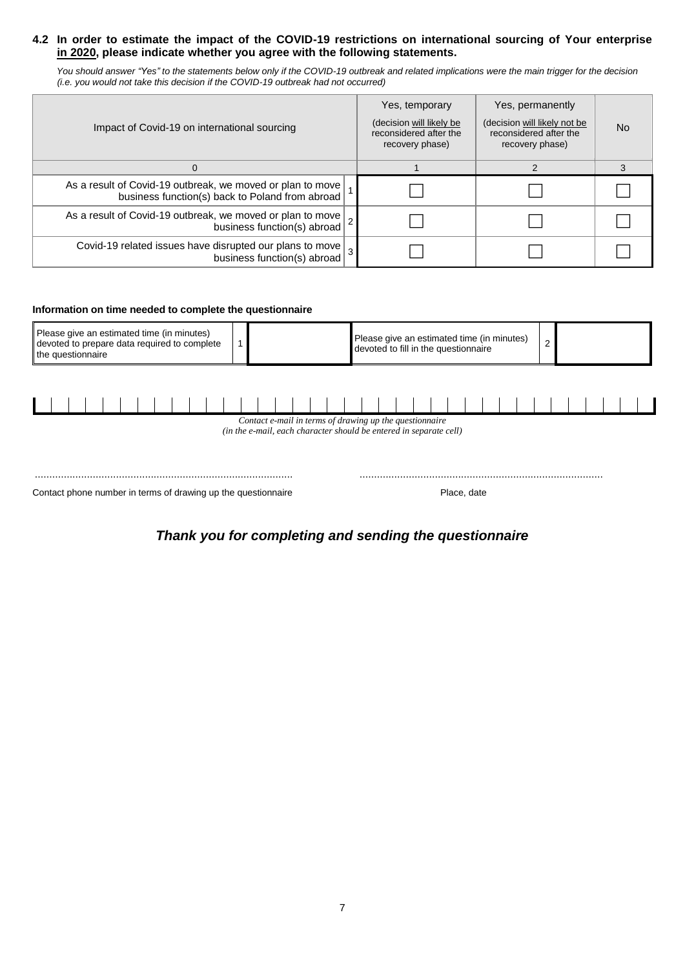## **4.2 In order to estimate the impact of the COVID-19 restrictions on international sourcing of Your enterprise in 2020, please indicate whether you agree with the following statements.**

*You should answer "Yes" to the statements below only if the COVID-19 outbreak and related implications were the main trigger for the decision (i.e. you would not take this decision if the COVID-19 outbreak had not occurred)*

| Impact of Covid-19 on international sourcing                                                                         | Yes, temporary<br>(decision will likely be<br>reconsidered after the<br>recovery phase) | Yes, permanently<br>(decision will likely not be<br>reconsidered after the<br>recovery phase) | <b>No</b> |
|----------------------------------------------------------------------------------------------------------------------|-----------------------------------------------------------------------------------------|-----------------------------------------------------------------------------------------------|-----------|
| $\Omega$                                                                                                             |                                                                                         |                                                                                               |           |
| As a result of Covid-19 outbreak, we moved or plan to move<br>business function(s) back to Poland from abroad        |                                                                                         |                                                                                               |           |
| As a result of Covid-19 outbreak, we moved or plan to move $ 2 $<br>business function(s) abroad                      |                                                                                         |                                                                                               |           |
| Covid-19 related issues have disrupted our plans to move $\left  \frac{3}{3} \right $<br>business function(s) abroad |                                                                                         |                                                                                               |           |

#### **Information on time needed to complete the questionnaire**

| Please give an estimated time (in minutes)<br>devoted to prepare data required to complete<br>the questionnaire | Please give an estimated time (in minutes)<br>devoted to fill in the questionnaire |  |  |
|-----------------------------------------------------------------------------------------------------------------|------------------------------------------------------------------------------------|--|--|
|-----------------------------------------------------------------------------------------------------------------|------------------------------------------------------------------------------------|--|--|

| Contact e-mail in terms of drawing up the questionnaire<br>(in the e-mail, each character should be entered in separate cell) |  |  |  |  |  |  |  |  |  |  |  |  |  |  |  |  |  |  |  |  |  |  |  |  |  |  |  |  |  |  |  |  |  |  |  |  |  |  |  |  |
|-------------------------------------------------------------------------------------------------------------------------------|--|--|--|--|--|--|--|--|--|--|--|--|--|--|--|--|--|--|--|--|--|--|--|--|--|--|--|--|--|--|--|--|--|--|--|--|--|--|--|--|

| . |
|---|
|   |

# *Thank you for completing and sending the questionnaire*

Contact phone number in terms of drawing up the questionnaire Place, date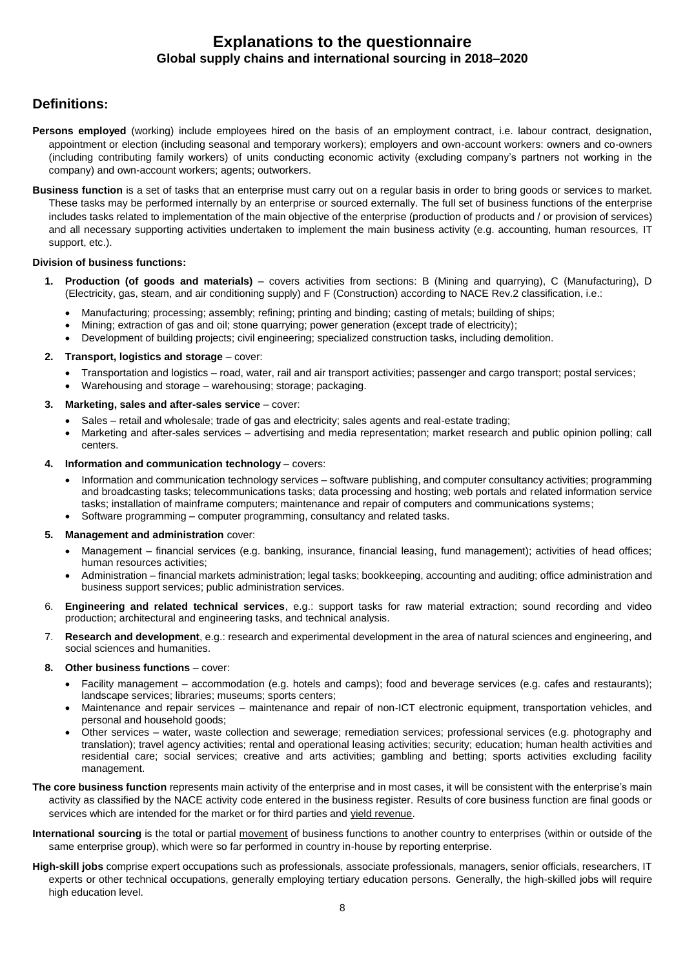# **Explanations to the questionnaire Global supply chains and international sourcing in 2018–2020**

# **Definitions:**

- **Persons employed** (working) include employees hired on the basis of an employment contract, i.e. labour contract, designation, appointment or election (including seasonal and temporary workers); employers and own-account workers: owners and co-owners (including contributing family workers) of units conducting economic activity (excluding company's partners not working in the company) and own-account workers; agents; outworkers.
- **Business function** is a set of tasks that an enterprise must carry out on a regular basis in order to bring goods or services to market. These tasks may be performed internally by an enterprise or sourced externally. The full set of business functions of the enterprise includes tasks related to implementation of the main objective of the enterprise (production of products and / or provision of services) and all necessary supporting activities undertaken to implement the main business activity (e.g. accounting, human resources, IT support, etc.).

#### **Division of business functions:**

- **1. Production (of goods and materials)** covers activities from sections: B (Mining and quarrying), C (Manufacturing), D (Electricity, gas, steam, and air conditioning supply) and F (Construction) according to NACE Rev.2 classification, i.e.:
	- Manufacturing; processing; assembly; refining; printing and binding; casting of metals; building of ships;
	- Mining; extraction of gas and oil; stone quarrying; power generation (except trade of electricity);
	- Development of building projects; civil engineering; specialized construction tasks, including demolition.

#### **2. Transport, logistics and storage** – cover:

- Transportation and logistics road, water, rail and air transport activities; passenger and cargo transport; postal services;
- Warehousing and storage warehousing; storage; packaging.

#### **3. Marketing, sales and after-sales service** – cover:

- Sales retail and wholesale; trade of gas and electricity; sales agents and real-estate trading;
- Marketing and after-sales services advertising and media representation; market research and public opinion polling; call centers.

#### **4. Information and communication technology** – covers:

- Information and communication technology services software publishing, and computer consultancy activities; programming and broadcasting tasks; telecommunications tasks; data processing and hosting; web portals and related information service tasks; installation of mainframe computers; maintenance and repair of computers and communications systems;
- Software programming computer programming, consultancy and related tasks.

#### **5. Management and administration** cover:

- Management financial services (e.g. banking, insurance, financial leasing, fund management); activities of head offices; human resources activities;
- Administration financial markets administration; legal tasks; bookkeeping, accounting and auditing; office administration and business support services; public administration services.
- 6. **Engineering and related technical services**, e.g.: support tasks for raw material extraction; sound recording and video production; architectural and engineering tasks, and technical analysis.
- 7. **Research and development**, e.g.: research and experimental development in the area of natural sciences and engineering, and social sciences and humanities.

#### **8. Other business functions** – cover:

- Facility management accommodation (e.g. hotels and camps); food and beverage services (e.g. cafes and restaurants); landscape services; libraries; museums; sports centers;
- Maintenance and repair services maintenance and repair of non-ICT electronic equipment, transportation vehicles, and personal and household goods;
- Other services water, waste collection and sewerage; remediation services; professional services (e.g. photography and translation); travel agency activities; rental and operational leasing activities; security; education; human health activities and residential care; social services; creative and arts activities; gambling and betting; sports activities excluding facility management.
- **The core business function** represents main activity of the enterprise and in most cases, it will be consistent with the enterprise's main activity as classified by the NACE activity code entered in the business register. Results of core business function are final goods or services which are intended for the market or for third parties and yield revenue.
- **International sourcing** is the total or partial movement of business functions to another country to enterprises (within or outside of the same enterprise group), which were so far performed in country in-house by reporting enterprise.
- **High-skill jobs** comprise expert occupations such as professionals, associate professionals, managers, senior officials, researchers, IT experts or other technical occupations, generally employing tertiary education persons. Generally, the high-skilled jobs will require high education level.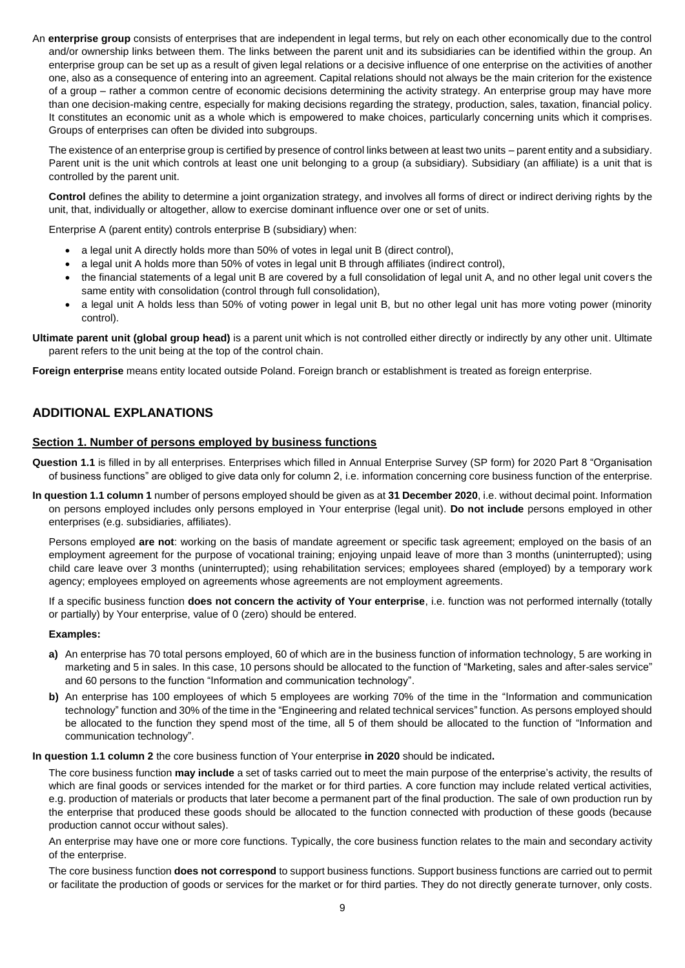An **enterprise group** consists of enterprises that are independent in legal terms, but rely on each other economically due to the control and/or ownership links between them. The links between the parent unit and its subsidiaries can be identified within the group. An enterprise group can be set up as a result of given legal relations or a decisive influence of one enterprise on the activities of another one, also as a consequence of entering into an agreement. Capital relations should not always be the main criterion for the existence of a group – rather a common centre of economic decisions determining the activity strategy. An enterprise group may have more than one decision-making centre, especially for making decisions regarding the strategy, production, sales, taxation, financial policy. It constitutes an economic unit as a whole which is empowered to make choices, particularly concerning units which it comprises. Groups of enterprises can often be divided into subgroups.

The existence of an enterprise group is certified by presence of control links between at least two units – parent entity and a subsidiary. Parent unit is the unit which controls at least one unit belonging to a group (a subsidiary). Subsidiary (an affiliate) is a unit that is controlled by the parent unit.

**Control** defines the ability to determine a joint organization strategy, and involves all forms of direct or indirect deriving rights by the unit, that, individually or altogether, allow to exercise dominant influence over one or set of units.

Enterprise A (parent entity) controls enterprise B (subsidiary) when:

- a legal unit A directly holds more than 50% of votes in legal unit B (direct control),
- a legal unit A holds more than 50% of votes in legal unit B through affiliates (indirect control),
- the financial statements of a legal unit B are covered by a full consolidation of legal unit A, and no other legal unit covers the same entity with consolidation (control through full consolidation),
- a legal unit A holds less than 50% of voting power in legal unit B, but no other legal unit has more voting power (minority control).

**Ultimate parent unit (global group head)** is a parent unit which is not controlled either directly or indirectly by any other unit. Ultimate parent refers to the unit being at the top of the control chain.

**Foreign enterprise** means entity located outside Poland. Foreign branch or establishment is treated as foreign enterprise.

# **ADDITIONAL EXPLANATIONS**

#### **Section 1. Number of persons employed by business functions**

**Question 1.1** is filled in by all enterprises. Enterprises which filled in Annual Enterprise Survey (SP form) for 2020 Part 8 "Organisation of business functions" are obliged to give data only for column 2, i.e. information concerning core business function of the enterprise.

**In question 1.1 column 1** number of persons employed should be given as at **31 December 2020**, i.e. without decimal point. Information on persons employed includes only persons employed in Your enterprise (legal unit). **Do not include** persons employed in other enterprises (e.g. subsidiaries, affiliates).

Persons employed **are not**: working on the basis of mandate agreement or specific task agreement; employed on the basis of an employment agreement for the purpose of vocational training; enjoying unpaid leave of more than 3 months (uninterrupted); using child care leave over 3 months (uninterrupted); using rehabilitation services; employees shared (employed) by a temporary work agency; employees employed on agreements whose agreements are not employment agreements.

If a specific business function **does not concern the activity of Your enterprise**, i.e. function was not performed internally (totally or partially) by Your enterprise, value of 0 (zero) should be entered.

#### **Examples:**

- **a)** An enterprise has 70 total persons employed, 60 of which are in the business function of information technology, 5 are working in marketing and 5 in sales. In this case, 10 persons should be allocated to the function of "Marketing, sales and after-sales service" and 60 persons to the function "Information and communication technology".
- **b)** An enterprise has 100 employees of which 5 employees are working 70% of the time in the "Information and communication technology" function and 30% of the time in the "Engineering and related technical services" function. As persons employed should be allocated to the function they spend most of the time, all 5 of them should be allocated to the function of "Information and communication technology".

**In question 1.1 column 2** the core business function of Your enterprise **in 2020** should be indicated**.**

The core business function **may include** a set of tasks carried out to meet the main purpose of the enterprise's activity, the results of which are final goods or services intended for the market or for third parties. A core function may include related vertical activities, e.g. production of materials or products that later become a permanent part of the final production. The sale of own production run by the enterprise that produced these goods should be allocated to the function connected with production of these goods (because production cannot occur without sales).

An enterprise may have one or more core functions. Typically, the core business function relates to the main and secondary activity of the enterprise.

The core business function **does not correspond** to support business functions. Support business functions are carried out to permit or facilitate the production of goods or services for the market or for third parties. They do not directly generate turnover, only costs.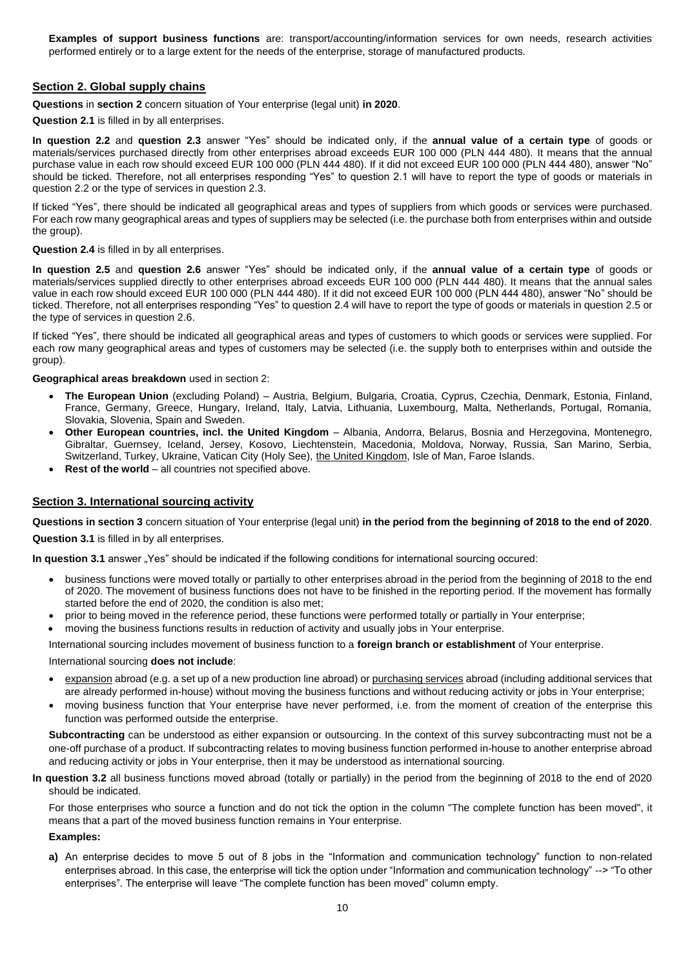**Examples of support business functions** are: transport/accounting/information services for own needs, research activities performed entirely or to a large extent for the needs of the enterprise, storage of manufactured products.

### **Section 2. Global supply chains**

**Questions** in **section 2** concern situation of Your enterprise (legal unit) **in 2020**.

**Question 2.1** is filled in by all enterprises.

**In question 2.2** and **question 2.3** answer "Yes" should be indicated only, if the **annual value of a certain type** of goods or materials/services purchased directly from other enterprises abroad exceeds EUR 100 000 (PLN 444 480). It means that the annual purchase value in each row should exceed EUR 100 000 (PLN 444 480). If it did not exceed EUR 100 000 (PLN 444 480), answer "No" should be ticked. Therefore, not all enterprises responding "Yes" to question 2.1 will have to report the type of goods or materials in question 2.2 or the type of services in question 2.3.

If ticked "Yes", there should be indicated all geographical areas and types of suppliers from which goods or services were purchased. For each row many geographical areas and types of suppliers may be selected (i.e. the purchase both from enterprises within and outside the group).

#### **Question 2.4** is filled in by all enterprises.

**In question 2.5** and **question 2.6** answer "Yes" should be indicated only, if the **annual value of a certain type** of goods or materials/services supplied directly to other enterprises abroad exceeds EUR 100 000 (PLN 444 480). It means that the annual sales value in each row should exceed EUR 100 000 (PLN 444 480). If it did not exceed EUR 100 000 (PLN 444 480), answer "No" should be ticked. Therefore, not all enterprises responding "Yes" to question 2.4 will have to report the type of goods or materials in question 2.5 or the type of services in question 2.6.

If ticked "Yes", there should be indicated all geographical areas and types of customers to which goods or services were supplied. For each row many geographical areas and types of customers may be selected (i.e. the supply both to enterprises within and outside the group).

#### **Geographical areas breakdown** used in section 2:

- **The European Union** (excluding Poland) Austria, Belgium, Bulgaria, Croatia, Cyprus, Czechia, Denmark, Estonia, Finland, France, Germany, Greece, Hungary, Ireland, Italy, Latvia, Lithuania, Luxembourg, Malta, Netherlands, Portugal, Romania, Slovakia, Slovenia, Spain and Sweden.
- **Other European countries, incl. the United Kingdom** Albania, Andorra, Belarus, Bosnia and Herzegovina, Montenegro, Gibraltar, Guernsey, Iceland, Jersey, Kosovo, Liechtenstein, Macedonia, Moldova, Norway, Russia, San Marino, Serbia, Switzerland, Turkey, Ukraine, Vatican City (Holy See), the United Kingdom, Isle of Man, Faroe Islands.
- Rest of the world all countries not specified above.

#### **Section 3. International sourcing activity**

**Questions in section 3** concern situation of Your enterprise (legal unit) **in the period from the beginning of 2018 to the end of 2020**. **Question 3.1** is filled in by all enterprises.

**In question 3.1** answer "Yes" should be indicated if the following conditions for international sourcing occured:

- business functions were moved totally or partially to other enterprises abroad in the period from the beginning of 2018 to the end of 2020. The movement of business functions does not have to be finished in the reporting period. If the movement has formally started before the end of 2020, the condition is also met;
- prior to being moved in the reference period, these functions were performed totally or partially in Your enterprise;
- moving the business functions results in reduction of activity and usually jobs in Your enterprise.

International sourcing includes movement of business function to a **foreign branch or establishment** of Your enterprise.

#### International sourcing **does not include**:

- expansion abroad (e.g. a set up of a new production line abroad) or purchasing services abroad (including additional services that are already performed in-house) without moving the business functions and without reducing activity or jobs in Your enterprise;
- moving business function that Your enterprise have never performed, i.e. from the moment of creation of the enterprise this function was performed outside the enterprise.

Subcontracting can be understood as either expansion or outsourcing. In the context of this survey subcontracting must not be a one-off purchase of a product. If subcontracting relates to moving business function performed in-house to another enterprise abroad and reducing activity or jobs in Your enterprise, then it may be understood as international sourcing.

#### **In question 3.2** all business functions moved abroad (totally or partially) in the period from the beginning of 2018 to the end of 2020 should be indicated.

For those enterprises who source a function and do not tick the option in the column "The complete function has been moved", it means that a part of the moved business function remains in Your enterprise.

#### **Examples:**

**a)** An enterprise decides to move 5 out of 8 jobs in the "Information and communication technology" function to non-related enterprises abroad. In this case, the enterprise will tick the option under "Information and communication technology" --> "To other enterprises". The enterprise will leave "The complete function has been moved" column empty.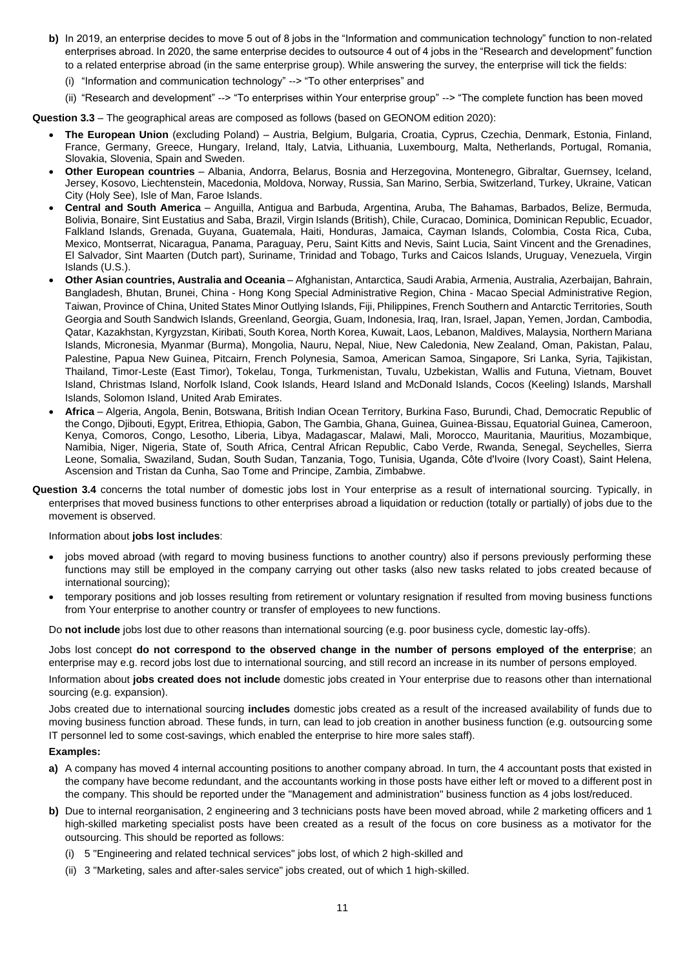- **b)** In 2019, an enterprise decides to move 5 out of 8 jobs in the "Information and communication technology" function to non-related enterprises abroad. In 2020, the same enterprise decides to outsource 4 out of 4 jobs in the "Research and development" function to a related enterprise abroad (in the same enterprise group). While answering the survey, the enterprise will tick the fields:
	- (i) "Information and communication technology" --> "To other enterprises" and
- (ii) "Research and development" --> "To enterprises within Your enterprise group" --> "The complete function has been moved

**Question 3.3** – The geographical areas are composed as follows (based on GEONOM edition 2020):

- **The European Union** (excluding Poland) Austria, Belgium, Bulgaria, Croatia, Cyprus, Czechia, Denmark, Estonia, Finland, France, Germany, Greece, Hungary, Ireland, Italy, Latvia, Lithuania, Luxembourg, Malta, Netherlands, Portugal, Romania, Slovakia, Slovenia, Spain and Sweden.
- **Other European countries** Albania, Andorra, Belarus, Bosnia and Herzegovina, Montenegro, Gibraltar, Guernsey, Iceland, Jersey, Kosovo, Liechtenstein, Macedonia, Moldova, Norway, Russia, San Marino, Serbia, Switzerland, Turkey, Ukraine, Vatican City (Holy See), Isle of Man, Faroe Islands.
- **Central and South America**  Anguilla, Antigua and Barbuda, Argentina, Aruba, The Bahamas, Barbados, Belize, Bermuda, Bolivia, Bonaire, Sint Eustatius and Saba, Brazil, Virgin Islands (British), Chile, Curacao, Dominica, Dominican Republic, Ecuador, Falkland Islands, Grenada, Guyana, Guatemala, Haiti, Honduras, Jamaica, Cayman Islands, Colombia, Costa Rica, Cuba, Mexico, Montserrat, Nicaragua, Panama, Paraguay, Peru, Saint Kitts and Nevis, Saint Lucia, Saint Vincent and the Grenadines, El Salvador, Sint Maarten (Dutch part), Suriname, Trinidad and Tobago, Turks and Caicos Islands, Uruguay, Venezuela, Virgin Islands (U.S.).
- **Other Asian countries, Australia and Oceania** Afghanistan, Antarctica, Saudi Arabia, Armenia, Australia, Azerbaijan, Bahrain, Bangladesh, Bhutan, Brunei, China - Hong Kong Special Administrative Region, China - Macao Special Administrative Region, Taiwan, Province of China, United States Minor Outlying Islands, Fiji, Philippines, French Southern and Antarctic Territories, South Georgia and South Sandwich Islands, Greenland, Georgia, Guam, Indonesia, Iraq, Iran, Israel, Japan, Yemen, Jordan, Cambodia, Qatar, Kazakhstan, Kyrgyzstan, Kiribati, South Korea, North Korea, Kuwait, Laos, Lebanon, Maldives, Malaysia, Northern Mariana Islands, Micronesia, Myanmar (Burma), Mongolia, Nauru, Nepal, Niue, New Caledonia, New Zealand, Oman, Pakistan, Palau, Palestine, Papua New Guinea, Pitcairn, French Polynesia, Samoa, American Samoa, Singapore, Sri Lanka, Syria, Tajikistan, Thailand, Timor-Leste (East Timor), Tokelau, Tonga, Turkmenistan, Tuvalu, Uzbekistan, Wallis and Futuna, Vietnam, Bouvet Island, Christmas Island, Norfolk Island, Cook Islands, Heard Island and McDonald Islands, Cocos (Keeling) Islands, Marshall Islands, Solomon Island, United Arab Emirates.
- **Africa**  Algeria, Angola, Benin, Botswana, British Indian Ocean Territory, Burkina Faso, Burundi, Chad, Democratic Republic of the Congo, Djibouti, Egypt, Eritrea, Ethiopia, Gabon, The Gambia, Ghana, Guinea, Guinea-Bissau, Equatorial Guinea, Cameroon, Kenya, Comoros, Congo, Lesotho, Liberia, Libya, Madagascar, Malawi, Mali, Morocco, Mauritania, Mauritius, Mozambique, Namibia, Niger, Nigeria, State of, South Africa, Central African Republic, Cabo Verde, Rwanda, Senegal, Seychelles, Sierra Leone, Somalia, Swaziland, Sudan, South Sudan, Tanzania, Togo, Tunisia, Uganda, Côte d'Ivoire (Ivory Coast), Saint Helena, Ascension and Tristan da Cunha, Sao Tome and Principe, Zambia, Zimbabwe.
- **Question 3.4** concerns the total number of domestic jobs lost in Your enterprise as a result of international sourcing. Typically, in enterprises that moved business functions to other enterprises abroad a liquidation or reduction (totally or partially) of jobs due to the movement is observed.

#### Information about **jobs lost includes**:

- jobs moved abroad (with regard to moving business functions to another country) also if persons previously performing these functions may still be employed in the company carrying out other tasks (also new tasks related to jobs created because of international sourcing);
- temporary positions and job losses resulting from retirement or voluntary resignation if resulted from moving business functions from Your enterprise to another country or transfer of employees to new functions.

Do **not include** jobs lost due to other reasons than international sourcing (e.g. poor business cycle, domestic lay-offs).

Jobs lost concept **do not correspond to the observed change in the number of persons employed of the enterprise**; an enterprise may e.g. record jobs lost due to international sourcing, and still record an increase in its number of persons employed.

Information about **jobs created does not include** domestic jobs created in Your enterprise due to reasons other than international sourcing (e.g. expansion).

Jobs created due to international sourcing **includes** domestic jobs created as a result of the increased availability of funds due to moving business function abroad. These funds, in turn, can lead to job creation in another business function (e.g. outsourcing some IT personnel led to some cost-savings, which enabled the enterprise to hire more sales staff).

#### **Examples:**

- **a)** A company has moved 4 internal accounting positions to another company abroad. In turn, the 4 accountant posts that existed in the company have become redundant, and the accountants working in those posts have either left or moved to a different post in the company. This should be reported under the "Management and administration" business function as 4 jobs lost/reduced.
- **b)** Due to internal reorganisation, 2 engineering and 3 technicians posts have been moved abroad, while 2 marketing officers and 1 high-skilled marketing specialist posts have been created as a result of the focus on core business as a motivator for the outsourcing. This should be reported as follows:
	- (i) 5 "Engineering and related technical services" jobs lost, of which 2 high-skilled and
	- (ii) 3 "Marketing, sales and after-sales service" jobs created, out of which 1 high-skilled.